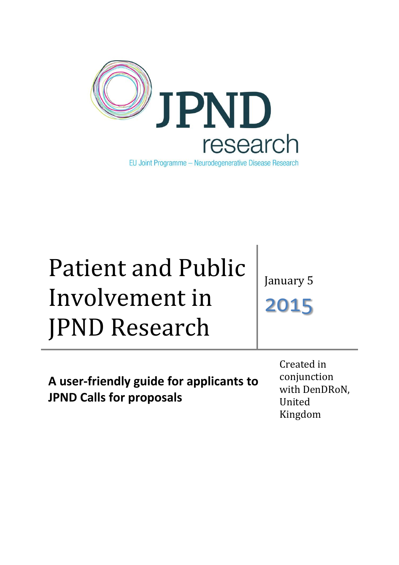

# Patient and Public Involvement in JPND Research

January 5

2015

**A user-friendly guide for applicants to JPND Calls for proposals**

Created in conjunction with DenDRoN, United Kingdom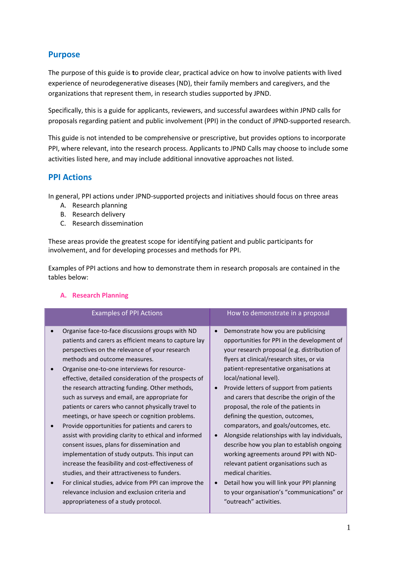## **Purpose**

The purpose of this guide is **t**o provide clear, practical advice on how to involve patients with lived experience of neurodegenerative diseases (ND), their family members and caregivers, and the organizations that represent them, in research studies supported by JPND.

Specifically, this is a guide for applicants, reviewers, and successful awardees within JPND calls for proposals regarding patient and public involvement (PPI) in the conduct of JPND-supported research.

This guide is not intended to be comprehensive or prescriptive, but provides options to incorporate PPI, where relevant, into the research process. Applicants to JPND Calls may choose to include some activities listed here, and may include additional innovative approaches not listed.

## **PPI Actions**

In general, PPI actions under JPND-supported projects and initiatives should focus on three areas

- A. Research planning
- B. Research delivery
- C. Research dissemination

These areas provide the greatest scope for identifying patient and public participants for involvement, and for developing processes and methods for PPI.

Examples of PPI actions and how to demonstrate them in research proposals are contained in the tables below:

| <b>Examples of PPI Actions</b>                                                                                                                                                                                                                                                                                                                                                                                                                                                                                                                                                                                                                                                                                                                                                                                                                                                                                                                                                               | How to demonstrate in a proposal                                                                                                                                                                                                                                                                                                                                                                                                                                                                                                                                                                                                                                                                                                                                                                                                                        |
|----------------------------------------------------------------------------------------------------------------------------------------------------------------------------------------------------------------------------------------------------------------------------------------------------------------------------------------------------------------------------------------------------------------------------------------------------------------------------------------------------------------------------------------------------------------------------------------------------------------------------------------------------------------------------------------------------------------------------------------------------------------------------------------------------------------------------------------------------------------------------------------------------------------------------------------------------------------------------------------------|---------------------------------------------------------------------------------------------------------------------------------------------------------------------------------------------------------------------------------------------------------------------------------------------------------------------------------------------------------------------------------------------------------------------------------------------------------------------------------------------------------------------------------------------------------------------------------------------------------------------------------------------------------------------------------------------------------------------------------------------------------------------------------------------------------------------------------------------------------|
| Organise face-to-face discussions groups with ND<br>patients and carers as efficient means to capture lay<br>perspectives on the relevance of your research<br>methods and outcome measures.<br>Organise one-to-one interviews for resource-<br>effective, detailed consideration of the prospects of<br>the research attracting funding. Other methods,<br>such as surveys and email, are appropriate for<br>patients or carers who cannot physically travel to<br>meetings, or have speech or cognition problems.<br>Provide opportunities for patients and carers to<br>assist with providing clarity to ethical and informed<br>consent issues, plans for dissemination and<br>implementation of study outputs. This input can<br>increase the feasibility and cost-effectiveness of<br>studies, and their attractiveness to funders.<br>For clinical studies, advice from PPI can improve the<br>relevance inclusion and exclusion criteria and<br>appropriateness of a study protocol. | Demonstrate how you are publicising<br>$\bullet$<br>opportunities for PPI in the development of<br>your research proposal (e.g. distribution of<br>flyers at clinical/research sites, or via<br>patient-representative organisations at<br>local/national level).<br>Provide letters of support from patients<br>$\bullet$<br>and carers that describe the origin of the<br>proposal, the role of the patients in<br>defining the question, outcomes,<br>comparators, and goals/outcomes, etc.<br>Alongside relationships with lay individuals,<br>$\bullet$<br>describe how you plan to establish ongoing<br>working agreements around PPI with ND-<br>relevant patient organisations such as<br>medical charities.<br>Detail how you will link your PPI planning<br>$\bullet$<br>to your organisation's "communications" or<br>"outreach" activities. |

#### **A. Research Planning**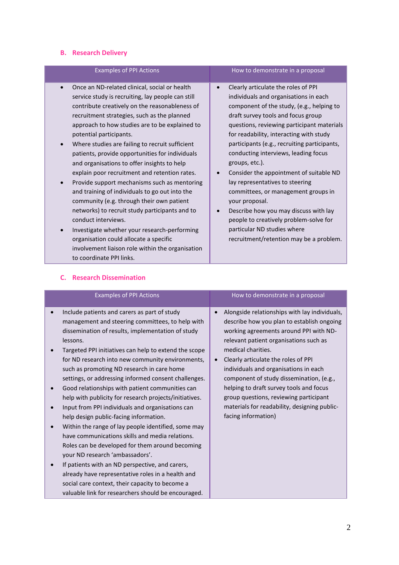## **B. Research Delivery**

| <b>Examples of PPI Actions</b>                                                                                                                                                                                                                                                                                                                                                                                                                                                                                                                                                                                                                                                                                              | How to demonstrate in a proposal                                                                                                                                                                                                                                                                                                                                                                                                                                                                                                                                                             |
|-----------------------------------------------------------------------------------------------------------------------------------------------------------------------------------------------------------------------------------------------------------------------------------------------------------------------------------------------------------------------------------------------------------------------------------------------------------------------------------------------------------------------------------------------------------------------------------------------------------------------------------------------------------------------------------------------------------------------------|----------------------------------------------------------------------------------------------------------------------------------------------------------------------------------------------------------------------------------------------------------------------------------------------------------------------------------------------------------------------------------------------------------------------------------------------------------------------------------------------------------------------------------------------------------------------------------------------|
|                                                                                                                                                                                                                                                                                                                                                                                                                                                                                                                                                                                                                                                                                                                             |                                                                                                                                                                                                                                                                                                                                                                                                                                                                                                                                                                                              |
| Once an ND-related clinical, social or health<br>$\bullet$<br>service study is recruiting, lay people can still<br>contribute creatively on the reasonableness of<br>recruitment strategies, such as the planned<br>approach to how studies are to be explained to<br>potential participants.<br>Where studies are failing to recruit sufficient<br>patients, provide opportunities for individuals<br>and organisations to offer insights to help<br>explain poor recruitment and retention rates.<br>Provide support mechanisms such as mentoring<br>and training of individuals to go out into the<br>community (e.g. through their own patient<br>networks) to recruit study participants and to<br>conduct interviews. | Clearly articulate the roles of PPI<br>individuals and organisations in each<br>component of the study, (e.g., helping to<br>draft survey tools and focus group<br>questions, reviewing participant materials<br>for readability, interacting with study<br>participants (e.g., recruiting participants,<br>conducting interviews, leading focus<br>groups, etc.).<br>Consider the appointment of suitable ND<br>lay representatives to steering<br>committees, or management groups in<br>your proposal.<br>Describe how you may discuss with lay<br>people to creatively problem-solve for |
| Investigate whether your research-performing<br>organisation could allocate a specific<br>involvement liaison role within the organisation<br>to coordinate PPI links.                                                                                                                                                                                                                                                                                                                                                                                                                                                                                                                                                      | particular ND studies where<br>recruitment/retention may be a problem.                                                                                                                                                                                                                                                                                                                                                                                                                                                                                                                       |

| <b>Examples of PPI Actions</b>                                                                                                                                                                                                                                                                                                                                                                                                                                                                                                                                                                                                                                                                                                                                                                                                                                                                                                                                                                                    | How to demonstrate in a proposal                                                                                                                                                                                                                                                                                                                                                                                                                                                                                        |
|-------------------------------------------------------------------------------------------------------------------------------------------------------------------------------------------------------------------------------------------------------------------------------------------------------------------------------------------------------------------------------------------------------------------------------------------------------------------------------------------------------------------------------------------------------------------------------------------------------------------------------------------------------------------------------------------------------------------------------------------------------------------------------------------------------------------------------------------------------------------------------------------------------------------------------------------------------------------------------------------------------------------|-------------------------------------------------------------------------------------------------------------------------------------------------------------------------------------------------------------------------------------------------------------------------------------------------------------------------------------------------------------------------------------------------------------------------------------------------------------------------------------------------------------------------|
| Include patients and carers as part of study<br>management and steering committees, to help with<br>dissemination of results, implementation of study<br>lessons.<br>Targeted PPI initiatives can help to extend the scope<br>for ND research into new community environments,<br>such as promoting ND research in care home<br>settings, or addressing informed consent challenges.<br>Good relationships with patient communities can<br>help with publicity for research projects/initiatives.<br>Input from PPI individuals and organisations can<br>help design public-facing information.<br>Within the range of lay people identified, some may<br>have communications skills and media relations.<br>Roles can be developed for them around becoming<br>your ND research 'ambassadors'.<br>If patients with an ND perspective, and carers,<br>already have representative roles in a health and<br>social care context, their capacity to become a<br>valuable link for researchers should be encouraged. | Alongside relationships with lay individuals,<br>$\bullet$<br>describe how you plan to establish ongoing<br>working agreements around PPI with ND-<br>relevant patient organisations such as<br>medical charities.<br>Clearly articulate the roles of PPI<br>$\bullet$<br>individuals and organisations in each<br>component of study dissemination, (e.g.,<br>helping to draft survey tools and focus<br>group questions, reviewing participant<br>materials for readability, designing public-<br>facing information) |

#### **C. Research Dissemination**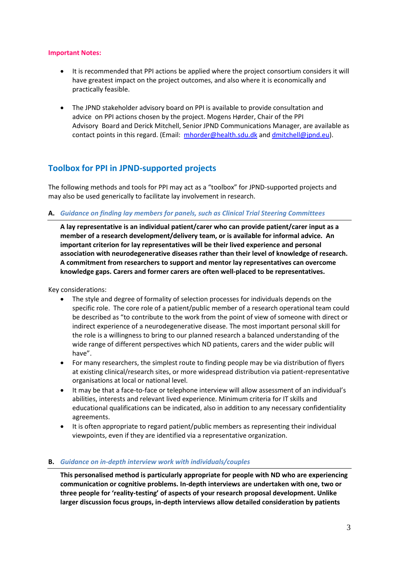#### **Important Notes:**

- It is recommended that PPI actions be applied where the project consortium considers it will have greatest impact on the project outcomes, and also where it is economically and practically feasible.
- The JPND stakeholder advisory board on PPI is available to provide consultation and advice on PPI actions chosen by the project. Mogens Hørder, Chair of the PPI Advisory Board and Derick Mitchell, Senior JPND Communications Manager, are available as contact points in this regard. (Email: [mhorder@health.sdu.dk](mailto:mhorder@health.sdu.dk) and [dmitchell@jpnd.eu\)](mailto:dmitchell@jpnd.eu).

## **Toolbox for PPI in JPND-supported projects**

The following methods and tools for PPI may act as a "toolbox" for JPND-supported projects and may also be used generically to facilitate lay involvement in research.

**A.** *Guidance on finding lay members for panels, such as Clinical Trial Steering Committees* 

**A lay representative is an individual patient/carer who can provide patient/carer input as a member of a research development/delivery team, or is available for informal advice. An important criterion for lay representatives will be their lived experience and personal association with neurodegenerative diseases rather than their level of knowledge of research. A commitment from researchers to support and mentor lay representatives can overcome knowledge gaps. Carers and former carers are often well-placed to be representatives.**

Key considerations:

- The style and degree of formality of selection processes for individuals depends on the specific role. The core role of a patient/public member of a research operational team could be described as "to contribute to the work from the point of view of someone with direct or indirect experience of a neurodegenerative disease. The most important personal skill for the role is a willingness to bring to our planned research a balanced understanding of the wide range of different perspectives which ND patients, carers and the wider public will have".
- For many researchers, the simplest route to finding people may be via distribution of flyers at existing clinical/research sites, or more widespread distribution via patient-representative organisations at local or national level.
- It may be that a face-to-face or telephone interview will allow assessment of an individual's abilities, interests and relevant lived experience. Minimum criteria for IT skills and educational qualifications can be indicated, also in addition to any necessary confidentiality agreements.
- It is often appropriate to regard patient/public members as representing their individual viewpoints, even if they are identified via a representative organization.

#### **B.** *Guidance on in-depth interview work with individuals/couples*

**This personalised method is particularly appropriate for people with ND who are experiencing communication or cognitive problems. In-depth interviews are undertaken with one, two or three people for 'reality-testing' of aspects of your research proposal development. Unlike larger discussion focus groups, in-depth interviews allow detailed consideration by patients**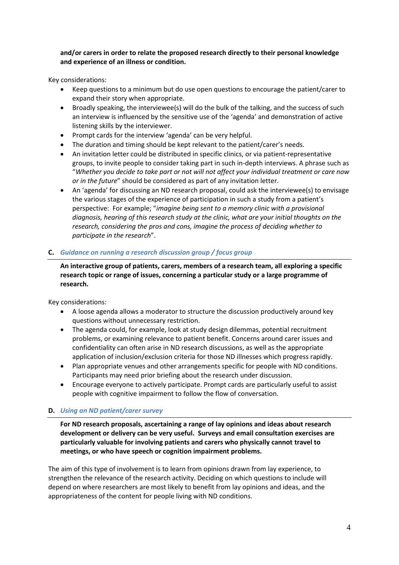**and/or carers in order to relate the proposed research directly to their personal knowledge and experience of an illness or condition.** 

Key considerations:

- Keep questions to a minimum but do use open questions to encourage the patient/carer to expand their story when appropriate.
- Broadly speaking, the interviewee(s) will do the bulk of the talking, and the success of such an interview is influenced by the sensitive use of the 'agenda' and demonstration of active listening skills by the interviewer.
- Prompt cards for the interview 'agenda' can be very helpful.
- The duration and timing should be kept relevant to the patient/carer's needs.
- An invitation letter could be distributed in specific clinics, or via patient-representative groups, to invite people to consider taking part in such in-depth interviews. A phrase such as "*Whether you decide to take part or not will not affect your individual treatment or care now or in the future*" should be considered as part of any invitation letter.
- An 'agenda' for discussing an ND research proposal, could ask the interviewee(s) to envisage the various stages of the experience of participation in such a study from a patient's perspective: For example; "*imagine being sent to a memory clinic with a provisional diagnosis, hearing of this research study at the clinic, what are your initial thoughts on the research, considering the pros and cons, imagine the process of deciding whether to participate in the research*".

#### **C.** *Guidance on running a research discussion group / focus group*

**An interactive group of patients, carers, members of a research team, all exploring a specific research topic or range of issues, concerning a particular study or a large programme of research.**

Key considerations:

- A loose agenda allows a moderator to structure the discussion productively around key questions without unnecessary restriction.
- The agenda could, for example, look at study design dilemmas, potential recruitment problems, or examining relevance to patient benefit. Concerns around carer issues and confidentiality can often arise in ND research discussions, as well as the appropriate application of inclusion/exclusion criteria for those ND illnesses which progress rapidly.
- Plan appropriate venues and other arrangements specific for people with ND conditions. Participants may need prior briefing about the research under discussion.
- Encourage everyone to actively participate. Prompt cards are particularly useful to assist people with cognitive impairment to follow the flow of conversation.

#### **D.** *Using an ND patient/carer survey*

**For ND research proposals, ascertaining a range of lay opinions and ideas about research development or delivery can be very useful. Surveys and email consultation exercises are particularly valuable for involving patients and carers who physically cannot travel to meetings, or who have speech or cognition impairment problems.**

The aim of this type of involvement is to learn from opinions drawn from lay experience, to strengthen the relevance of the research activity. Deciding on which questions to include will depend on where researchers are most likely to benefit from lay opinions and ideas, and the appropriateness of the content for people living with ND conditions.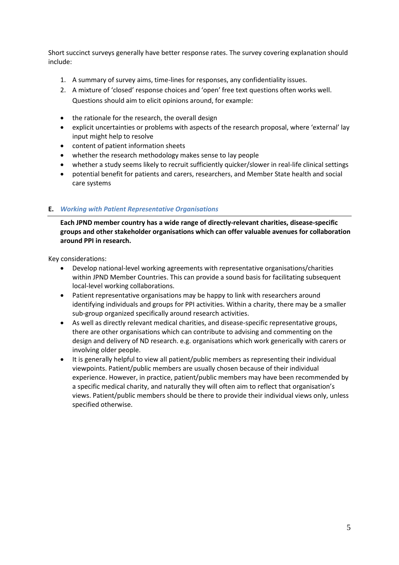Short succinct surveys generally have better response rates. The survey covering explanation should include:

- 1. A summary of survey aims, time-lines for responses, any confidentiality issues.
- 2. A mixture of 'closed' response choices and 'open' free text questions often works well. Questions should aim to elicit opinions around, for example:
- the rationale for the research, the overall design
- explicit uncertainties or problems with aspects of the research proposal, where 'external' lay input might help to resolve
- content of patient information sheets
- whether the research methodology makes sense to lay people
- whether a study seems likely to recruit sufficiently quicker/slower in real-life clinical settings
- potential benefit for patients and carers, researchers, and Member State health and social care systems

#### **E.** *Working with Patient Representative Organisations*

**Each JPND member country has a wide range of directly-relevant charities, disease-specific groups and other stakeholder organisations which can offer valuable avenues for collaboration around PPI in research.**

Key considerations:

- Develop national-level working agreements with representative organisations/charities within JPND Member Countries. This can provide a sound basis for facilitating subsequent local-level working collaborations.
- Patient representative organisations may be happy to link with researchers around identifying individuals and groups for PPI activities. Within a charity, there may be a smaller sub-group organized specifically around research activities.
- As well as directly relevant medical charities, and disease-specific representative groups, there are other organisations which can contribute to advising and commenting on the design and delivery of ND research. e.g. organisations which work generically with carers or involving older people.
- It is generally helpful to view all patient/public members as representing their individual viewpoints. Patient/public members are usually chosen because of their individual experience. However, in practice, patient/public members may have been recommended by a specific medical charity, and naturally they will often aim to reflect that organisation's views. Patient/public members should be there to provide their individual views only, unless specified otherwise.